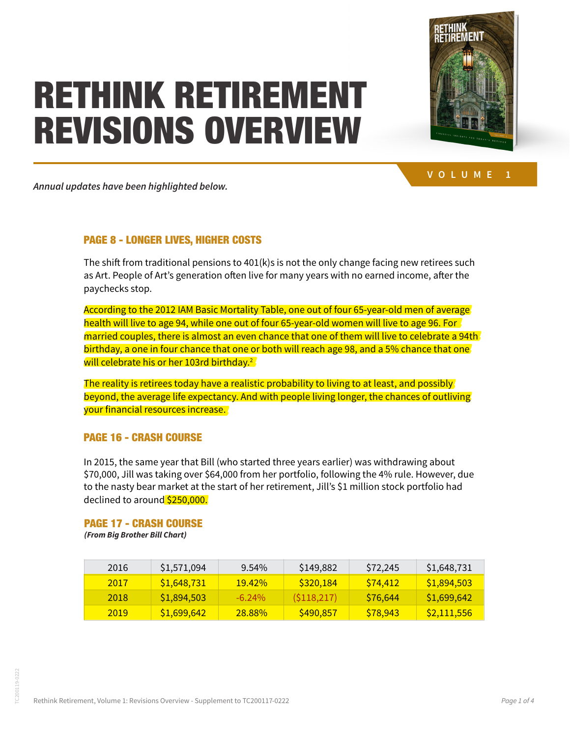### 1979 0% TUINIZ DETIDENTENT *w*hte 1981 1983 1985 1987 1989 1991 1993 1995 1997 1999 2001 2003 2005 2007 2009 2011 2013 portfolio growth lags Bill's withdrawal slightly, the portfolio will shrink slowly. **This sequence of events would allow Bill's \$1 million portfolio to last for 30 years or longer, so he'll have an increasing stream of income throughout his retirement.** REVISIONS OVERVIEW that they both started with similar amounts, held in similar portfolios, and followed the same RETHINK RETIREMENT



 $\mathbf{V}$  Department of Labor Form 5500 Summaries 1979 - 1979 - 1998, Pension Benefit Guarantee 1979 - 1998 - 1998 - 1998 - 1998 - 1998 - 1998, Pension Benefit Guarantee 1979 - 1998 - 1998 - 1998 - 1998 - 1999 - 1999 - 199 **VOLUME** 

 $U_{\alpha}$  is  $U_{\alpha}$  equities—go down as well as well as well as well as well as well as well as up. Some people pick as  $U_{\alpha}$ Annual updates have been highlighted below.

withdrawal plan.

#### **PAGE 8 - LONGER LIVES, HIGHER COSTS CONTRE Index Return** PAGE 8 - LONGER LIVES, HIGHER COSTS

The shift from traditional pensions to 401(k)s is not the only change facing new retirees such as Art. People of Art's generation often live for many years with no earned income, after the paychecks stop. The stop of the stop of the stop of the stop of the stop of the stop of the stop of the stop of the stop of the stop of the stop of the stop of the stop of the stop of the stop of the stop of the stop of th  $1998 \text{ s}$ 

According to the 2012 IAM Basic Mortality Table, one out of four 65-year-old men of average health will live to age 94, while one out of four 65-year-old women will live to age 96. For  $\sqrt{2}$ married couples, there is almost an even chance that one of them will live to celebrate a 94th birthday, a one in four chance that one or both will reach age 98, and a 5% chance that one on that, it who in four chance that one of boar will reach age bo, and a bill also enable that one will relebrate his or her 103rd birthday.<sup>2</sup>  $\frac{1}{2}$  with a stock funds of the same portfolio of large-company stock funds and followed the same path,  $\frac{1}{2}$ ed couples, there is almost an even chance that one or them will live to celebrate a 34t<br>I 2002 \$1,594,011 -23.37% (\$372,520) \$47,762 \$1,173,729

The reality is retirees today have a realistic probability to living to at least, and possibly,  $\overline{\phantom{a}}$ beyond, the average life expectancy. And with people living longer, the chances of outliving your financial resources increase. successive calendar years. Stocks rose to new heights after that, called a gain in 2008-2009, control in 2008-2009, control in 2008-2009, control in 2008-2009, control in 2009, control in 2009, control in 2009, control in  $2003$   $2003$   $2003$   $2003$   $2003$   $2003$   $2003$   $2003$ id, the average the expectancy. And with people tiving tonger, the chances of outtiving **2006 \$1,500,606 115,636,757 \$205,757 \$205,757 \$205,757 \$205,757 \$205,757 \$205,757 \$205,757 \$205,757 \$205,757 \$205** 

### and has re-rebounded since then. **Even with ups following the downs, the poor start damaged JULL'S PORTFOLIO AND HER CHANCE FOR A FINANCIAL SUPPORT OF A FINANCIAL SUPPORT OF A FINANCIAL SUPPORT OF A FINANCIAL SUPPORT OF A FINANCIAL SUPPORT OF A FINANCIAL SUPPORT OF A FINANCIAL SUPPORT OF A FINANCIAL SUPPORT OF A 2007 \$1,656,913 3.523 \$58,370 \$1,659,913 \$58,370 \$1,659,913 \$58,370 \$1,659,913 \$55,370 \$1,659,914 \$55,370 \$1,659,914 \$1,659,914 \$1,659,914 \$1,659,914 \$1,659,914 \$1,659,914 \$1,659,914 \$1,659,914 \$1,659,914 \$1,659,914 \$1,65**

In 2015, the same year that Bill (who started three years earlier) was withdrawing about \$70,000, Jill was taking over \$64,000 from her portfolio, following the 4% rule. However, due to the nasty bear market at the start of her retirement, Jill's \$1 million stock portfolio had 2011 \$1,215,329 0.00% \$0 \$62,319 \$1,153,010 declined to around \$250,000. 2012 \$1,153,010 13.41% \$154,619 \$64,189 \$1,243,440

# **PAGE 17 - CRASH COURSE Each year, her portfolio will run dry in less than five years. Bill, in less than five years. Bill, in less than five years. Bill, in less than five years. Bill, in less than**  $\alpha$

who retired in 1996, has a much better chance of financing a long retirement, despite the fact 2014 \$1,545,383 11.39% \$176,019 \$68,098 \$1,653,304 *(From Big Brother Bill Chart)*

| 2016 | \$1,571,094 | $9.54\%$      | \$149,882  | S72.245  | \$1,648,731 |
|------|-------------|---------------|------------|----------|-------------|
| 2017 | \$1,648,731 | <b>19.42%</b> | S320.184   | S74.412  | \$1,894,503 |
| 2018 | \$1,894,503 | $-6.24\%$     | (S118,217) | S76.644  | \$1,699,642 |
| 2019 | \$1,699,642 | <b>28.88%</b> | \$490,857  | \$78,943 | \$2,111,556 |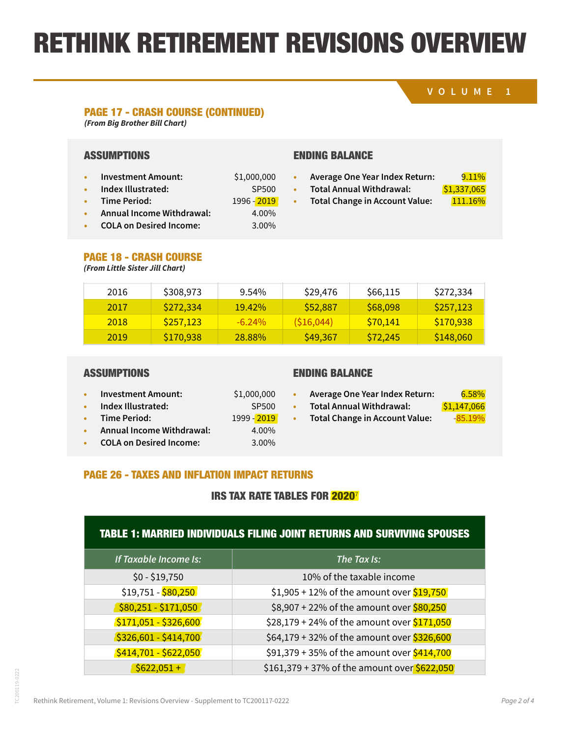# RETHINK RETIREMENT REVISIONS OVERVIEW 10 DETREMENT REVIOLUIO UVEN **IK RETIREMENT REVISIONS OVER**<br> *Big Brother Bill Chart)*<br> *Big Brother Bill Chart*)<br> *Big Brother Bill Chart*)<br> **MPTIONS**<br> **ENDING BALANCE**<br> **ENDING BALANCE**<br> **ENDING BALANCE**<br> **ENDING BALANCE**<br> **ENDING BALANCE**<br> **ENDING** IN MEHMENI MEVISIUNS UVEM

2017 \$1,648,731 19.42% \$320,184 \$74,412 \$1,894,503

### **VOLUME 1** 2002 \$824,514 -23.37% (\$192,514 -23.37% (\$192,514 -33.37% (\$192,514 -33.37% (\$192,514 -33.37% (\$192,514 -33.37<br>2003 \$192,689,116 -23.37% (\$192,514 -33.37% (\$192,514 -33.37% (\$192,514 -33.37% (\$192,514 -33.37% (\$192,514 -2003 **x** 598,150

# PAGE 17 - CRASH COURSE (CONTINUED)

2005 \$714,642 3.00% \$21,439 \$47,762 \$688,319 *(From Big Brother Bill Chart)*

# ASSUMPTIONS ENDING

- Consumers may be pleased to the pleased to the material that they may be pleased and they made for the second <br>Consumers and the second growth and the second growth in the second growth in the second of the second second **• Investment Amount:** \$1,000,000
- 2009 \$383,299 23.45% \$89,884 \$53,757 \$419,426 **• Total Annual Withdrawal:** \$1,337,065 **• Index Illustrated:** SP500
- **• Time Period:** 1996 2019
	-
- assets providing the income. A true net income from various financial products also adjusts for **• COLA on Desired Income:** 3.00%  $20.367$   $360%$

# 2007 \$732,873 \$732,873 \$732,873 \$25,797 \$732,874 \$70,671 \$707,873 \$707,999

- 2008 \$707,999 -38.49% (\$272,509) \$52,191 \$383,299 **• Average One Year Index Return:** 9.11%
	-
- This index inustrated.<br>This is revealed the magnetic reveal the magnetic received by consumers. The net growth to a set a set of the n ime Period: 1996 -<mark>2019</mark> Total Change in Account Value: <mark>111.16%</mark>
- 
- consumer enour consumers recognizes the amount consumers actually get to consumer and various  $\frac{111.10}{N}$ **• Annual Income Withdrawal:** 4.00%

| <b>PAGE 18 - CRASH COURSE</b>     |  |
|-----------------------------------|--|
| (France Little Cinter, CH Charact |  |

| <b>PAGE 18 - CRASH COURSE</b><br>(From Little Sister Jill Chart) |           |          |            |          |           |
|------------------------------------------------------------------|-----------|----------|------------|----------|-----------|
| 2016                                                             | \$308,973 | 9.54%    | \$29,476   | \$66,115 | \$272,334 |
| 2017                                                             | \$272,334 | 19.42%   | \$52,887   | \$68,098 | \$257,123 |
| 2018                                                             | \$257,123 | $-6.24%$ | (\$16,044) | \$70,141 | \$170,938 |
| 2019                                                             | \$170,938 | 28.88%   | \$49,367   | \$72,245 | \$148,060 |

**• Investment Amount:** \$1,000,000

### $T_{\rm T}$  is the much that returns are much that returns. Moving to about inflation  $T_{\rm T}$ **ASSUMPTIONS**

| <b>Investment Amount:</b> |  |
|---------------------------|--|
|---------------------------|--|

- **• Index Illustrated:** SP500
- **• 1999 2019**
- **tax rates, no higher than 20%**  $\sim$  4.00%. See that  $\sim$  1.00% on the other hand, means  $\sim$  1.00% of  $\sim$  1.00% of  $\sim$  1.00% of  $\sim$  1.00% of  $\sim$  1.000  $\sim$  1.000  $\sim$  1.000  $\sim$  1.000  $\sim$  1.000  $\sim$  1.000  $\sim$  1.000 • **Independent Illustrated:** SPS 5000 in the set of the set of the set of the set of the set of the set of the set of the set of the set of the set of the set of the set of the set of the set of the set of the set of the s **• Time Period:** 1999 - 2019 **• Annual Income Withdrawal:** 4.00%
- **• COLA on Desired Income:** 4.00% **1.00% 1.00%**
- ENDING BALANCE
- lower-cost area of the U.S. might help to maintain or even increase purchasing power, though. ENDING BALANCE **• Average One Year Index Return:** 6.58%
- On the other hand, many tax-saving tactics can add value. For instance, waiting to take profits **• Average One Year Index Return:** 6.58% **• Total Annual Withdrawal:** \$1,147,066
- until an investment is held for more than a year will qualify for lower long-term capital gains **• Total Annual Withdrawal:** \$1,147,066 **• Total Change in Account Value:** -85.19%
- Bill didn't succeed because of skillful investing, in this example—his holdings had the same PAGE 26 - TAXES AND INFLATION IMPACT RETURNS

# **IRS TAX RATE TABLES FOR 2020<sup>7</sup>** initial value as Jill's. Both Bill and Jill had the same withdrawal strategy. **The huge difference in**

#### TABLE 1: MARRIED INDIVIDUALS FILING JOINT RETURNS AND SURVIVING SPOUSES **results is solely because of when they retired, and because of the stock market returns in their first three years away from their jobs. first three years away from their jobs.**

| If Taxable Income Is: | The Tax Is:                                  |
|-----------------------|----------------------------------------------|
| $$0 - $19,750$        | 10% of the taxable income                    |
| $$19,751 - $80,250$   | $$1,905 + 12\%$ of the amount over $$19,750$ |
| $$80,251 - $171,050$  | \$8,907 + 22% of the amount over \$80,250    |
| $$171,051 - $326,600$ | \$28,179 + 24% of the amount over \$171,050  |
| $$326,601 - $414,700$ | \$64,179 + 32% of the amount over \$326,600  |
| $$414,701 - $622,050$ | \$91,379 + 35% of the amount over \$414,700  |
| $$622,051+$           | \$161,379 + 37% of the amount over \$622,050 |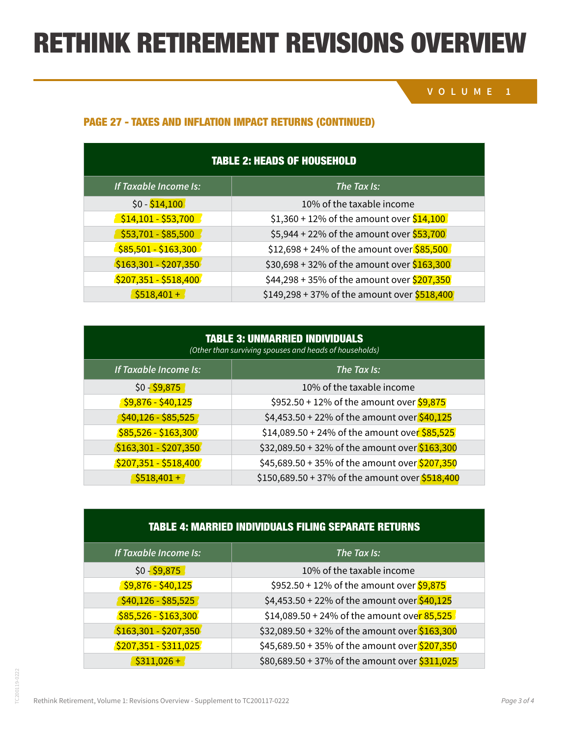# RETHINK RETIREMENT REVISIONS OVERVIEW

### **VOLUME 1**

### PAGE 27 - TAXES AND INFLATION IMPACT RETURNS (CONTINUED)

| <b>TABLE 2: HEADS OF HOUSEHOLD</b> |                                               |  |
|------------------------------------|-----------------------------------------------|--|
| If Taxable <i>Income Is:</i>       | The Tax Is:                                   |  |
| $$0 - $14,100$                     | 10% of the taxable income                     |  |
| $$14,101 - $53,700$                | $$1,360 + 12\%$ of the amount over $$14,100$  |  |
| $$53,701 - $85,500$                | \$5,944 + 22% of the amount over \$53,700     |  |
| $$85,501 - $163,300$               | $$12,698 + 24\%$ of the amount over $$85,500$ |  |
| $$163,301 - $207,350$              | \$30,698 + 32% of the amount over \$163,300   |  |
| $$207,351 - $518,400$              | \$44,298 + 35% of the amount over \$207,350   |  |
| $$518,401+$                        | \$149,298 + 37% of the amount over $$518,400$ |  |

| <b>TABLE 3: UNMARRIED INDIVIDUALS</b><br>(Other than surviving spouses and heads of households) |                                                 |  |
|-------------------------------------------------------------------------------------------------|-------------------------------------------------|--|
| If Taxable Income Is:                                                                           | The Tax Is:                                     |  |
| $$0 - $9,875$                                                                                   | 10% of the taxable income                       |  |
| $$9,876 - $40,125$                                                                              | \$952.50 + 12% of the amount over $$9,875$      |  |
| $$40,126 - $85,525$                                                                             | \$4,453.50 + 22% of the amount over \$40,125    |  |
| $$85,526 - $163,300$                                                                            | \$14,089.50 + 24% of the amount over \$85,525   |  |
| $$163,301 - $207,350$                                                                           | \$32,089.50 + 32% of the amount over \$163,300  |  |
| $$207,351 - $518,400$                                                                           | \$45,689.50 + 35% of the amount over \$207,350  |  |
| $$518,401+$                                                                                     | \$150,689.50 + 37% of the amount over \$518,400 |  |

### TABLE 4: MARRIED INDIVIDUALS FILING SEPARATE RETURNS

| If Taxable Income Is: | The Tax Is:                                    |
|-----------------------|------------------------------------------------|
| $$0 - $9,875$         | 10% of the taxable income                      |
| $$9,876 - $40,125$    | \$952.50 + 12% of the amount over $$9,875$     |
| $$40,126 - $85,525$   | \$4,453.50 + 22% of the amount over \$40,125   |
| $$85,526 - $163,300$  | \$14,089.50 + 24% of the amount over 85,525    |
| $$163,301 - $207,350$ | \$32,089.50 + 32% of the amount over \$163,300 |
| $$207,351 - $311,025$ | \$45,689.50 + 35% of the amount over \$207,350 |
| $$311,026+$           | \$80,689.50 + 37% of the amount over \$311,025 |